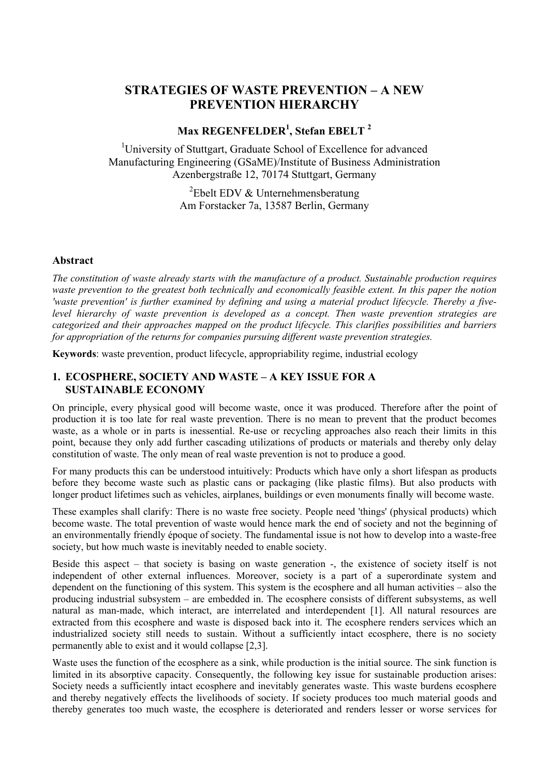# **STRATEGIES OF WASTE PREVENTION – A NEW PREVENTION HIERARCHY**

# **Max REGENFELDER1 , Stefan EBELT <sup>2</sup>**

<sup>1</sup>University of Stuttgart, Graduate School of Excellence for advanced Manufacturing Engineering (GSaME)/Institute of Business Administration Azenbergstraße 12, 70174 Stuttgart, Germany

> ${}^{2}$ Ebelt EDV & Unternehmensberatung Am Forstacker 7a, 13587 Berlin, Germany

#### **Abstract**

*The constitution of waste already starts with the manufacture of a product. Sustainable production requires waste prevention to the greatest both technically and economically feasible extent. In this paper the notion 'waste prevention' is further examined by defining and using a material product lifecycle. Thereby a fivelevel hierarchy of waste prevention is developed as a concept. Then waste prevention strategies are categorized and their approaches mapped on the product lifecycle. This clarifies possibilities and barriers for appropriation of the returns for companies pursuing different waste prevention strategies.*

**Keywords**: waste prevention, product lifecycle, appropriability regime, industrial ecology

## **1. ECOSPHERE, SOCIETY AND WASTE – A KEY ISSUE FOR A SUSTAINABLE ECONOMY**

On principle, every physical good will become waste, once it was produced. Therefore after the point of production it is too late for real waste prevention. There is no mean to prevent that the product becomes waste, as a whole or in parts is inessential. Re-use or recycling approaches also reach their limits in this point, because they only add further cascading utilizations of products or materials and thereby only delay constitution of waste. The only mean of real waste prevention is not to produce a good.

For many products this can be understood intuitively: Products which have only a short lifespan as products before they become waste such as plastic cans or packaging (like plastic films). But also products with longer product lifetimes such as vehicles, airplanes, buildings or even monuments finally will become waste.

These examples shall clarify: There is no waste free society. People need 'things' (physical products) which become waste. The total prevention of waste would hence mark the end of society and not the beginning of an environmentally friendly époque of society. The fundamental issue is not how to develop into a waste-free society, but how much waste is inevitably needed to enable society.

Beside this aspect – that society is basing on waste generation -, the existence of society itself is not independent of other external influences. Moreover, society is a part of a superordinate system and dependent on the functioning of this system. This system is the ecosphere and all human activities – also the producing industrial subsystem – are embedded in. The ecosphere consists of different subsystems, as well natural as man-made, which interact, are interrelated and interdependent [1]. All natural resources are extracted from this ecosphere and waste is disposed back into it. The ecosphere renders services which an industrialized society still needs to sustain. Without a sufficiently intact ecosphere, there is no society permanently able to exist and it would collapse [2,3].

<span id="page-0-0"></span>Waste uses the function of the ecosphere as a sink, while production is the initial source. The sink function is limited in its absorptive capacity. Consequently, the following key issue for sustainable production arises: Society needs a sufficiently intact ecosphere and inevitably generates waste. This waste burdens ecosphere and thereby negatively effects the livelihoods of society. If society produces too much material goods and thereby generates too much waste, the ecosphere is deteriorated and renders lesser or worse services for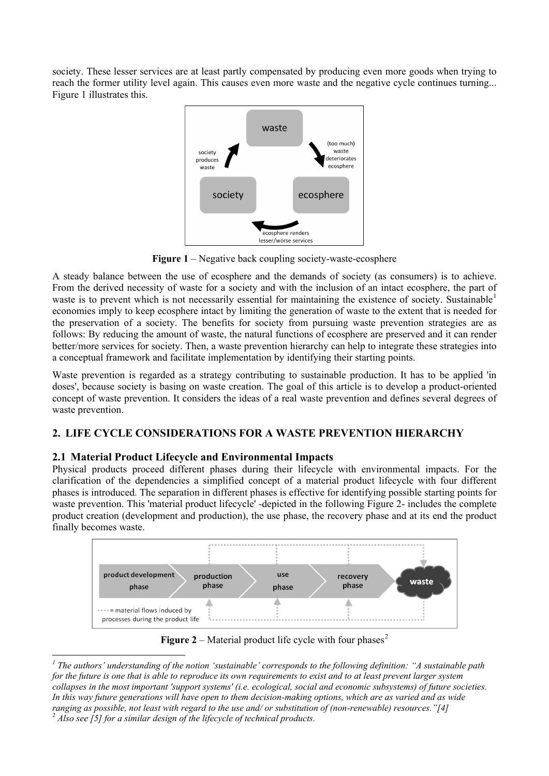society. These lesser services are at least partly compensated by producing even more goods when trying to reach the former utility level again. This causes even more waste and the negative cycle continues turning... Figure 1 illustrates this.



**Figure 1** – Negative back coupling society-waste-ecosphere

A steady balance between the use of ecosphere and the demands of society (as consumers) is to achieve. From the derived necessity of waste for a society and with the inclusion of an intact ecosphere, the part of waste is to prevent which is not necessarily essential for maintaining the existence of society. Sustainable<sup>[1](#page-0-0)</sup> economies imply to keep ecosphere intact by limiting the generation of waste to the extent that is needed for the preservation of a society. The benefits for society from pursuing waste prevention strategies are as follows: By reducing the amount of waste, the natural functions of ecosphere are preserved and it can render better/more services for society. Then, a waste prevention hierarchy can help to integrate these strategies into a conceptual framework and facilitate implementation by identifying their starting points.

Waste prevention is regarded as a strategy contributing to sustainable production. It has to be applied 'in doses', because society is basing on waste creation. The goal of this article is to develop a product-oriented concept of waste prevention. It considers the ideas of a real waste prevention and defines several degrees of waste prevention.

# **2. LIFE CYCLE CONSIDERATIONS FOR A WASTE PREVENTION HIERARCHY**

## **2.1 Material Product Lifecycle and Environmental Impacts**

Physical products proceed different phases during their lifecycle with environmental impacts. For the clarification of the dependencies a simplified concept of a material product lifecycle with four different phases is introduced. The separation in different phases is effective for identifying possible starting points for waste prevention. This 'material product lifecycle' -depicted in the following Figure 2- includes the complete product creation (development and production), the use phase, the recovery phase and at its end the product finally becomes waste.



**Figure [2](#page-1-0)** – Material product life cycle with four phases<sup>2</sup>

<span id="page-1-0"></span>*<sup>1</sup> The authors' understanding of the notion 'sustainable' corresponds to the following definition: "A sustainable path for the future is one that is able to reproduce its own requirements to exist and to at least prevent larger system collapses in the most important 'support systems' (i.e. ecological, social and economic subsystems) of future societies. In this way future generations will have open to them decision-making options, which are as varied and as wide ranging as possible, not least with regard to the use and/ or substitution of (non-renewable) resources."[4] <sup>2</sup> Also see [5] for a similar design of the lifecycle of technical products.*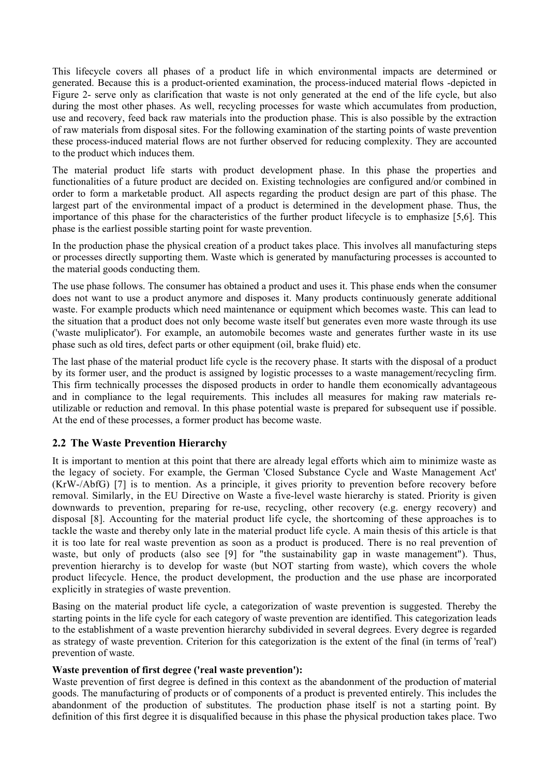This lifecycle covers all phases of a product life in which environmental impacts are determined or generated. Because this is a product-oriented examination, the process-induced material flows -depicted in Figure 2- serve only as clarification that waste is not only generated at the end of the life cycle, but also during the most other phases. As well, recycling processes for waste which accumulates from production, use and recovery, feed back raw materials into the production phase. This is also possible by the extraction of raw materials from disposal sites. For the following examination of the starting points of waste prevention these process-induced material flows are not further observed for reducing complexity. They are accounted to the product which induces them.

The material product life starts with product development phase. In this phase the properties and functionalities of a future product are decided on. Existing technologies are configured and/or combined in order to form a marketable product. All aspects regarding the product design are part of this phase. The largest part of the environmental impact of a product is determined in the development phase. Thus, the importance of this phase for the characteristics of the further product lifecycle is to emphasize [5,6]. This phase is the earliest possible starting point for waste prevention.

In the production phase the physical creation of a product takes place. This involves all manufacturing steps or processes directly supporting them. Waste which is generated by manufacturing processes is accounted to the material goods conducting them.

The use phase follows. The consumer has obtained a product and uses it. This phase ends when the consumer does not want to use a product anymore and disposes it. Many products continuously generate additional waste. For example products which need maintenance or equipment which becomes waste. This can lead to the situation that a product does not only become waste itself but generates even more waste through its use ('waste muliplicator'). For example, an automobile becomes waste and generates further waste in its use phase such as old tires, defect parts or other equipment (oil, brake fluid) etc.

The last phase of the material product life cycle is the recovery phase. It starts with the disposal of a product by its former user, and the product is assigned by logistic processes to a waste management/recycling firm. This firm technically processes the disposed products in order to handle them economically advantageous and in compliance to the legal requirements. This includes all measures for making raw materials reutilizable or reduction and removal. In this phase potential waste is prepared for subsequent use if possible. At the end of these processes, a former product has become waste.

## **2.2 The Waste Prevention Hierarchy**

It is important to mention at this point that there are already legal efforts which aim to minimize waste as the legacy of society. For example, the German 'Closed Substance Cycle and Waste Management Act' (KrW-/AbfG) [7] is to mention. As a principle, it gives priority to prevention before recovery before removal. Similarly, in the EU Directive on Waste a five-level waste hierarchy is stated. Priority is given downwards to prevention, preparing for re-use, recycling, other recovery (e.g. energy recovery) and disposal [8]. Accounting for the material product life cycle, the shortcoming of these approaches is to tackle the waste and thereby only late in the material product life cycle. A main thesis of this article is that it is too late for real waste prevention as soon as a product is produced. There is no real prevention of waste, but only of products (also see [9] for "the sustainability gap in waste management"). Thus, prevention hierarchy is to develop for waste (but NOT starting from waste), which covers the whole product lifecycle. Hence, the product development, the production and the use phase are incorporated explicitly in strategies of waste prevention.

Basing on the material product life cycle, a categorization of waste prevention is suggested. Thereby the starting points in the life cycle for each category of waste prevention are identified. This categorization leads to the establishment of a waste prevention hierarchy subdivided in several degrees. Every degree is regarded as strategy of waste prevention. Criterion for this categorization is the extent of the final (in terms of 'real') prevention of waste.

#### **Waste prevention of first degree ('real waste prevention'):**

Waste prevention of first degree is defined in this context as the abandonment of the production of material goods. The manufacturing of products or of components of a product is prevented entirely. This includes the abandonment of the production of substitutes. The production phase itself is not a starting point. By definition of this first degree it is disqualified because in this phase the physical production takes place. Two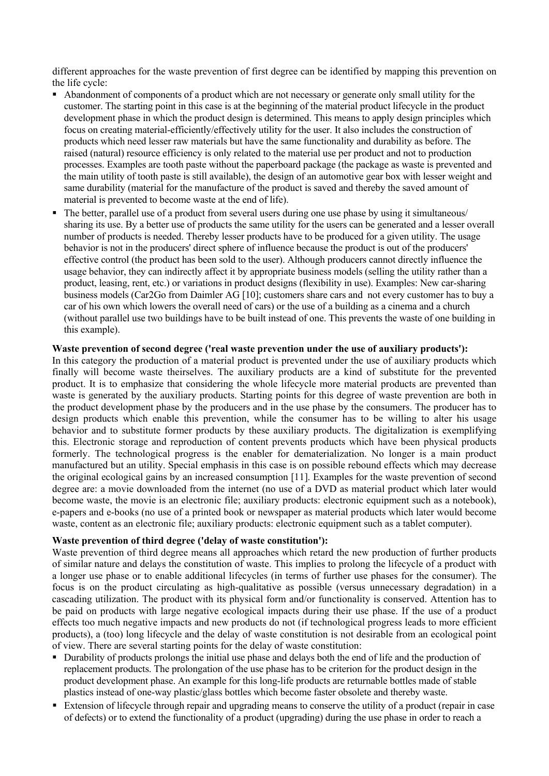different approaches for the waste prevention of first degree can be identified by mapping this prevention on the life cycle:

- Abandonment of components of a product which are not necessary or generate only small utility for the customer. The starting point in this case is at the beginning of the material product lifecycle in the product development phase in which the product design is determined. This means to apply design principles which focus on creating material-efficiently/effectively utility for the user. It also includes the construction of products which need lesser raw materials but have the same functionality and durability as before. The raised (natural) resource efficiency is only related to the material use per product and not to production processes. Examples are tooth paste without the paperboard package (the package as waste is prevented and the main utility of tooth paste is still available), the design of an automotive gear box with lesser weight and same durability (material for the manufacture of the product is saved and thereby the saved amount of material is prevented to become waste at the end of life).
- The better, parallel use of a product from several users during one use phase by using it simultaneous/ sharing its use. By a better use of products the same utility for the users can be generated and a lesser overall number of products is needed. Thereby lesser products have to be produced for a given utility. The usage behavior is not in the producers' direct sphere of influence because the product is out of the producers' effective control (the product has been sold to the user). Although producers cannot directly influence the usage behavior, they can indirectly affect it by appropriate business models (selling the utility rather than a product, leasing, rent, etc.) or variations in product designs (flexibility in use). Examples: New car-sharing business models (Car2Go from Daimler AG [10]; customers share cars and not every customer has to buy a car of his own which lowers the overall need of cars) or the use of a building as a cinema and a church (without parallel use two buildings have to be built instead of one. This prevents the waste of one building in this example).

#### **Waste prevention of second degree ('real waste prevention under the use of auxiliary products'):**

In this category the production of a material product is prevented under the use of auxiliary products which finally will become waste theirselves. The auxiliary products are a kind of substitute for the prevented product. It is to emphasize that considering the whole lifecycle more material products are prevented than waste is generated by the auxiliary products. Starting points for this degree of waste prevention are both in the product development phase by the producers and in the use phase by the consumers. The producer has to design products which enable this prevention, while the consumer has to be willing to alter his usage behavior and to substitute former products by these auxiliary products. The digitalization is exemplifying this. Electronic storage and reproduction of content prevents products which have been physical products formerly. The technological progress is the enabler for dematerialization. No longer is a main product manufactured but an utility. Special emphasis in this case is on possible rebound effects which may decrease the original ecological gains by an increased consumption [11]. Examples for the waste prevention of second degree are: a movie downloaded from the internet (no use of a DVD as material product which later would become waste, the movie is an electronic file; auxiliary products: electronic equipment such as a notebook), e-papers and e-books (no use of a printed book or newspaper as material products which later would become waste, content as an electronic file; auxiliary products: electronic equipment such as a tablet computer).

### **Waste prevention of third degree ('delay of waste constitution'):**

Waste prevention of third degree means all approaches which retard the new production of further products of similar nature and delays the constitution of waste. This implies to prolong the lifecycle of a product with a longer use phase or to enable additional lifecycles (in terms of further use phases for the consumer). The focus is on the product circulating as high-qualitative as possible (versus unnecessary degradation) in a cascading utilization. The product with its physical form and/or functionality is conserved. Attention has to be paid on products with large negative ecological impacts during their use phase. If the use of a product effects too much negative impacts and new products do not (if technological progress leads to more efficient products), a (too) long lifecycle and the delay of waste constitution is not desirable from an ecological point of view. There are several starting points for the delay of waste constitution:

- Durability of products prolongs the initial use phase and delays both the end of life and the production of replacement products. The prolongation of the use phase has to be criterion for the product design in the product development phase. An example for this long-life products are returnable bottles made of stable plastics instead of one-way plastic/glass bottles which become faster obsolete and thereby waste.
- Extension of lifecycle through repair and upgrading means to conserve the utility of a product (repair in case of defects) or to extend the functionality of a product (upgrading) during the use phase in order to reach a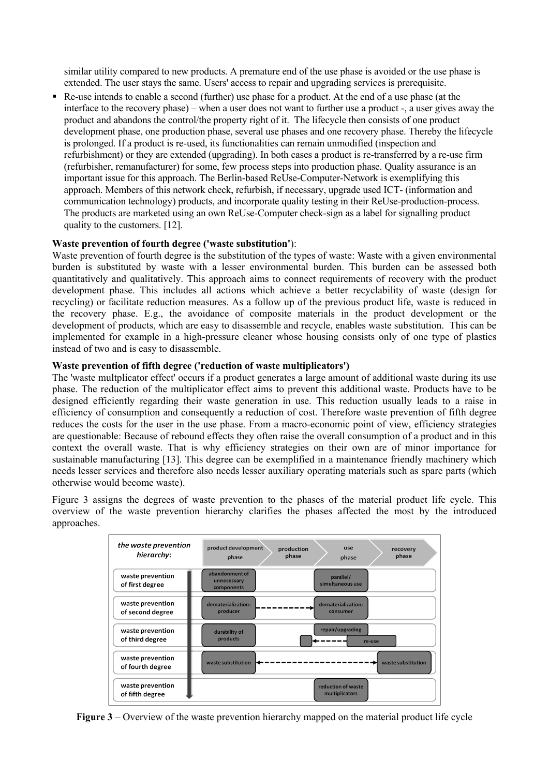similar utility compared to new products. A premature end of the use phase is avoided or the use phase is extended. The user stays the same. Users' access to repair and upgrading services is prerequisite.

 Re-use intends to enable a second (further) use phase for a product. At the end of a use phase (at the interface to the recovery phase) – when a user does not want to further use a product -, a user gives away the product and abandons the control/the property right of it. The lifecycle then consists of one product development phase, one production phase, several use phases and one recovery phase. Thereby the lifecycle is prolonged. If a product is re-used, its functionalities can remain unmodified (inspection and refurbishment) or they are extended (upgrading). In both cases a product is re-transferred by a re-use firm (refurbisher, remanufacturer) for some, few process steps into production phase. Quality assurance is an important issue for this approach. The Berlin-based ReUse-Computer-Network is exemplifying this approach. Members of this network check, refurbish, if necessary, upgrade used ICT- (information and communication technology) products, and incorporate quality testing in their ReUse-production-process. The products are marketed using an own ReUse-Computer check-sign as a label for signalling product quality to the customers. [12].

### **Waste prevention of fourth degree ('waste substitution'**):

Waste prevention of fourth degree is the substitution of the types of waste: Waste with a given environmental burden is substituted by waste with a lesser environmental burden. This burden can be assessed both quantitatively and qualitatively. This approach aims to connect requirements of recovery with the product development phase. This includes all actions which achieve a better recyclability of waste (design for recycling) or facilitate reduction measures. As a follow up of the previous product life, waste is reduced in the recovery phase. E.g., the avoidance of composite materials in the product development or the development of products, which are easy to disassemble and recycle, enables waste substitution. This can be implemented for example in a high-pressure cleaner whose housing consists only of one type of plastics instead of two and is easy to disassemble.

#### **Waste prevention of fifth degree ('reduction of waste multiplicators')**

The 'waste multplicator effect' occurs if a product generates a large amount of additional waste during its use phase. The reduction of the multiplicator effect aims to prevent this additional waste. Products have to be designed efficiently regarding their waste generation in use. This reduction usually leads to a raise in efficiency of consumption and consequently a reduction of cost. Therefore waste prevention of fifth degree reduces the costs for the user in the use phase. From a macro-economic point of view, efficiency strategies are questionable: Because of rebound effects they often raise the overall consumption of a product and in this context the overall waste. That is why efficiency strategies on their own are of minor importance for sustainable manufacturing [13]. This degree can be exemplified in a maintenance friendly machinery which needs lesser services and therefore also needs lesser auxiliary operating materials such as spare parts (which otherwise would become waste).

Figure 3 assigns the degrees of waste prevention to the phases of the material product life cycle. This overview of the waste prevention hierarchy clarifies the phases affected the most by the introduced approaches.



**Figure 3** – Overview of the waste prevention hierarchy mapped on the material product life cycle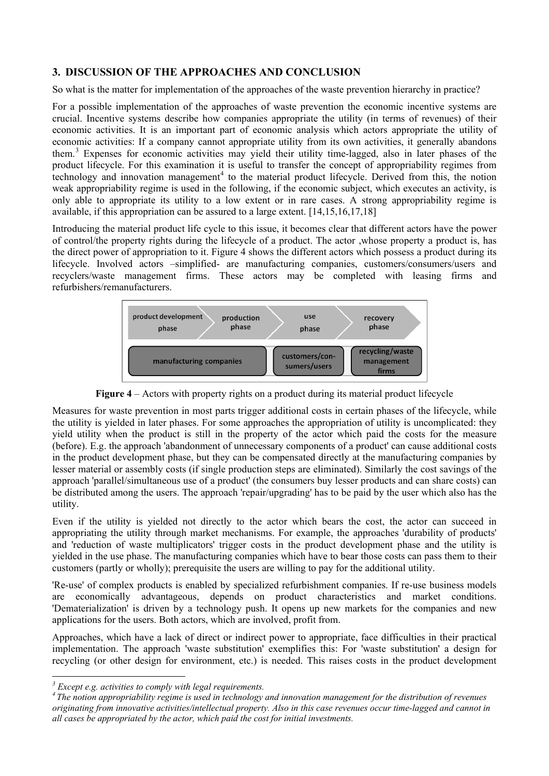## **3. DISCUSSION OF THE APPROACHES AND CONCLUSION**

So what is the matter for implementation of the approaches of the waste prevention hierarchy in practice?

For a possible implementation of the approaches of waste prevention the economic incentive systems are crucial. Incentive systems describe how companies appropriate the utility (in terms of revenues) of their economic activities. It is an important part of economic analysis which actors appropriate the utility of economic activities: If a company cannot appropriate utility from its own activities, it generally abandons them.[3](#page-5-0) Expenses for economic activities may yield their utility time-lagged, also in later phases of the product lifecycle. For this examination it is useful to transfer the concept of appropriability regimes from technology and innovation management<sup>[4](#page-5-1)</sup> to the material product lifecycle. Derived from this, the notion weak appropriability regime is used in the following, if the economic subject, which executes an activity, is only able to appropriate its utility to a low extent or in rare cases. A strong appropriability regime is available, if this appropriation can be assured to a large extent. [14,15,16,17,18]

Introducing the material product life cycle to this issue, it becomes clear that different actors have the power of control/the property rights during the lifecycle of a product. The actor ,whose property a product is, has the direct power of appropriation to it. Figure 4 shows the different actors which possess a product during its lifecycle. Involved actors –simplified- are manufacturing companies, customers/consumers/users and recyclers/waste management firms. These actors may be completed with leasing firms and refurbishers/remanufacturers.



**Figure 4** – Actors with property rights on a product during its material product lifecycle

Measures for waste prevention in most parts trigger additional costs in certain phases of the lifecycle, while the utility is yielded in later phases. For some approaches the appropriation of utility is uncomplicated: they yield utility when the product is still in the property of the actor which paid the costs for the measure (before). E.g. the approach 'abandonment of unnecessary components of a product' can cause additional costs in the product development phase, but they can be compensated directly at the manufacturing companies by lesser material or assembly costs (if single production steps are eliminated). Similarly the cost savings of the approach 'parallel/simultaneous use of a product' (the consumers buy lesser products and can share costs) can be distributed among the users. The approach 'repair/upgrading' has to be paid by the user which also has the utility.

Even if the utility is yielded not directly to the actor which bears the cost, the actor can succeed in appropriating the utility through market mechanisms. For example, the approaches 'durability of products' and 'reduction of waste multiplicators' trigger costs in the product development phase and the utility is yielded in the use phase. The manufacturing companies which have to bear those costs can pass them to their customers (partly or wholly); prerequisite the users are willing to pay for the additional utility.

'Re-use' of complex products is enabled by specialized refurbishment companies. If re-use business models are economically advantageous, depends on product characteristics and market conditions. 'Dematerialization' is driven by a technology push. It opens up new markets for the companies and new applications for the users. Both actors, which are involved, profit from.

Approaches, which have a lack of direct or indirect power to appropriate, face difficulties in their practical implementation. The approach 'waste substitution' exemplifies this: For 'waste substitution' a design for recycling (or other design for environment, etc.) is needed. This raises costs in the product development

<span id="page-5-1"></span><span id="page-5-0"></span>*<sup>3</sup> Except e.g. activities to comply with legal requirements. <sup>4</sup> The notion appropriability regime is used in technology and innovation management for the distribution of revenues originating from innovative activities/intellectual property. Also in this case revenues occur time-lagged and cannot in all cases be appropriated by the actor, which paid the cost for initial investments.*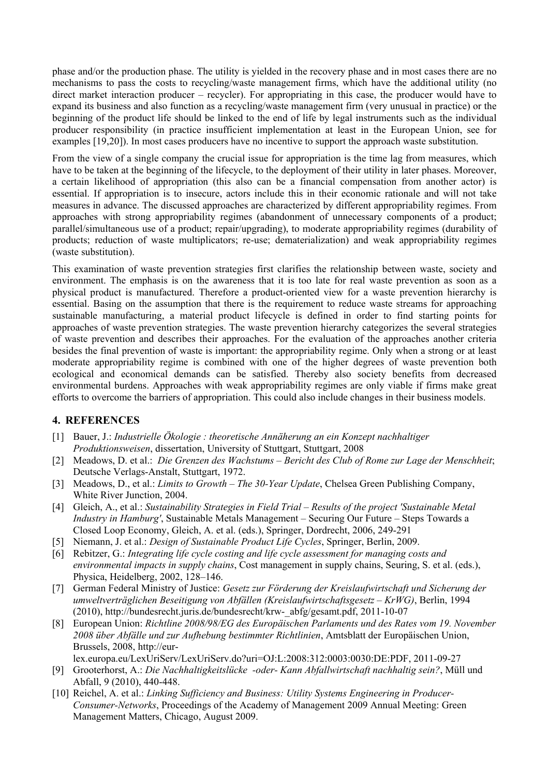phase and/or the production phase. The utility is yielded in the recovery phase and in most cases there are no mechanisms to pass the costs to recycling/waste management firms, which have the additional utility (no direct market interaction producer – recycler). For appropriating in this case, the producer would have to expand its business and also function as a recycling/waste management firm (very unusual in practice) or the beginning of the product life should be linked to the end of life by legal instruments such as the individual producer responsibility (in practice insufficient implementation at least in the European Union, see for examples [19,20]). In most cases producers have no incentive to support the approach waste substitution.

From the view of a single company the crucial issue for appropriation is the time lag from measures, which have to be taken at the beginning of the lifecycle, to the deployment of their utility in later phases. Moreover, a certain likelihood of appropriation (this also can be a financial compensation from another actor) is essential. If appropriation is to insecure, actors include this in their economic rationale and will not take measures in advance. The discussed approaches are characterized by different appropriability regimes. From approaches with strong appropriability regimes (abandonment of unnecessary components of a product; parallel/simultaneous use of a product; repair/upgrading), to moderate appropriability regimes (durability of products; reduction of waste multiplicators; re-use; dematerialization) and weak appropriability regimes (waste substitution).

This examination of waste prevention strategies first clarifies the relationship between waste, society and environment. The emphasis is on the awareness that it is too late for real waste prevention as soon as a physical product is manufactured. Therefore a product-oriented view for a waste prevention hierarchy is essential. Basing on the assumption that there is the requirement to reduce waste streams for approaching sustainable manufacturing, a material product lifecycle is defined in order to find starting points for approaches of waste prevention strategies. The waste prevention hierarchy categorizes the several strategies of waste prevention and describes their approaches. For the evaluation of the approaches another criteria besides the final prevention of waste is important: the appropriability regime. Only when a strong or at least moderate appropriability regime is combined with one of the higher degrees of waste prevention both ecological and economical demands can be satisfied. Thereby also society benefits from decreased environmental burdens. Approaches with weak appropriability regimes are only viable if firms make great efforts to overcome the barriers of appropriation. This could also include changes in their business models.

### **4. REFERENCES**

- [1] Bauer, J.: *Industrielle Ökologie : theoretische Annäherung an ein Konzept nachhaltiger Produktionsweisen*, dissertation, University of Stuttgart, Stuttgart, 2008
- [2] Meadows, D. et al.: *Die Grenzen des Wachstums – Bericht des Club of Rome zur Lage der Menschheit*; Deutsche Verlags-Anstalt, Stuttgart, 1972.
- [3] Meadows, D., et al.: *Limits to Growth – The 30-Year Update*, Chelsea Green Publishing Company, White River Junction, 2004.
- [4] Gleich, A., et al.: *Sustainability Strategies in Field Trial – Results of the project 'Sustainable Metal Industry in Hamburg'*, Sustainable Metals Management – Securing Our Future – Steps Towards a Closed Loop Economy, Gleich, A. et al. (eds.), Springer, Dordrecht, 2006, 249-291
- [5] Niemann, J. et al.: *Design of Sustainable Product Life Cycles*, Springer, Berlin, 2009.
- [6] Rebitzer, G.: *Integrating life cycle costing and life cycle assessment for managing costs and environmental impacts in supply chains*, Cost management in supply chains, Seuring, S. et al. (eds.), Physica, Heidelberg, 2002, 128–146.
- [7] German Federal Ministry of Justice: *Gesetz zur Förderung der Kreislaufwirtschaft und Sicherung der umweltverträglichen Beseitigung von Abfällen (Kreislaufwirtschaftsgesetz – KrWG)*, Berlin, 1994 (2010), [http://bundesrecht.juris.de/bundesrecht/krw-\\_abfg/gesamt.pdf,](http://bundesrecht.juris.de/bundesrecht/krw-_abfg/gesamt.pdf) 2011-10-07
- [8] European Union: *Richtline 2008/98/EG des Europäischen Parlaments und des Rates vom 19. November 2008 über Abfälle und zur Aufhebung bestimmter Richtlinien*, Amtsblatt der Europäischen Union, Brussels, 2008, http://eur-

lex.europa.eu/LexUriServ/LexUriServ.do?uri=OJ:L:2008:312:0003:0030:DE:PDF, 2011-09-27

- [9] Grooterhorst, A.: *Die Nachhaltigkeitslücke -oder- Kann Abfallwirtschaft nachhaltig sein?*, Müll und Abfall, 9 (2010), 440-448.
- [10] Reichel, A. et al.: *Linking Sufficiency and Business: Utility Systems Engineering in Producer-Consumer-Networks*, Proceedings of the Academy of Management 2009 Annual Meeting: Green Management Matters, Chicago, August 2009.